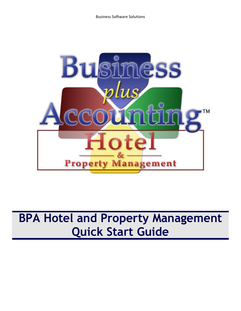

# **BPA Hotel and Property Management Quick Start Guide**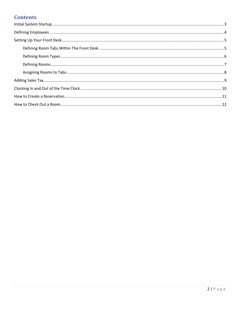# **Contents**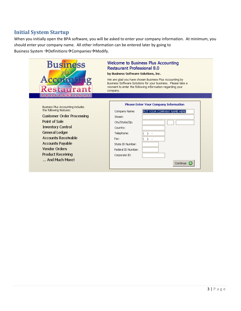## <span id="page-2-0"></span>**Initial System Startup**

When you initially open the BPA software, you will be asked to enter your company information. At minimum, you should enter your company name. All other information can be entered later by going to Business System  $\rightarrow$  Definitions $\rightarrow$  Companies $\rightarrow$  Modify.

| <b>Business</b>                                                     | Welcome to Business Plus Accounting<br><b>Restaurant Professional 8.0</b><br>by Business Software Solutions, Inc.                                                                               |  |  |  |  |  |  |
|---------------------------------------------------------------------|-------------------------------------------------------------------------------------------------------------------------------------------------------------------------------------------------|--|--|--|--|--|--|
| Restaurant<br><b>PROFESSIONAL</b>                                   | We are glad you have chosen Business Plus Accounting by<br>Business Software Solutions for your business. Please take a<br>moment to enter the following information regarding your<br>company. |  |  |  |  |  |  |
|                                                                     |                                                                                                                                                                                                 |  |  |  |  |  |  |
| <b>Business Plus Accounting includes</b><br>the following features: | <b>Please Enter Your Company Information</b><br>PUT YOUR COMPANY NAME HERE<br>Company Name:                                                                                                     |  |  |  |  |  |  |
| <b>Customer Order Processing</b>                                    | Street:                                                                                                                                                                                         |  |  |  |  |  |  |
| Point of Sale                                                       | City/State/Zip:                                                                                                                                                                                 |  |  |  |  |  |  |
| <b>Inventory Control</b>                                            | Country:                                                                                                                                                                                        |  |  |  |  |  |  |
| General Ledger                                                      | Telephone:                                                                                                                                                                                      |  |  |  |  |  |  |
| <b>Accounts Receivable</b>                                          | Fax:                                                                                                                                                                                            |  |  |  |  |  |  |
| <b>Accounts Payable</b>                                             | State ID Number:                                                                                                                                                                                |  |  |  |  |  |  |
| <b>Vendor Orders</b>                                                | Federal ID Number:                                                                                                                                                                              |  |  |  |  |  |  |
| <b>Product Receiving</b>                                            | Corporate ID:                                                                                                                                                                                   |  |  |  |  |  |  |
| And Much More!                                                      | Continue C                                                                                                                                                                                      |  |  |  |  |  |  |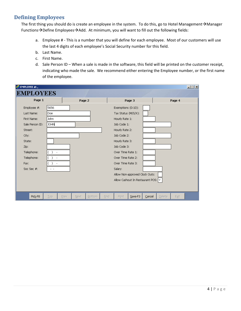## <span id="page-3-0"></span>**Defining Employees**

The first thing you should do is create an employee in the system. To do this, go to Hotel Management $\rightarrow$ Manager Functions $\rightarrow$ Define Employees $\rightarrow$ Add. At minimum, you will want to fill out the following fields:

- a. Employee # This is a number that you will define for each employee. Most of our customers will use the last 4 digits of each employee's Social Security number for this field.
- b. Last Name.
- c. First Name.
- d. Sale Person ID When a sale is made in the software, this field will be printed on the customer receipt, indicating who made the sale. We recommend either entering the Employee number, or the first name of the employee.

| EMPLOYEE #:,<br><b>EMPLOYEES</b> |             |      |        |        |      |                                    |                                |        |               |        | <b>L回</b> X |
|----------------------------------|-------------|------|--------|--------|------|------------------------------------|--------------------------------|--------|---------------|--------|-------------|
| Page 1                           |             |      | Page 2 |        |      |                                    | Page 3                         |        |               | Page 4 |             |
| Employee #:                      | 5656        |      |        |        |      | Exemptions (0-10):                 |                                |        |               |        |             |
| Last Name:                       | Doe         |      |        |        |      | Tax Status (M/S/X):                |                                |        |               |        |             |
| First Name:                      | John        |      |        |        |      | Hourly Rate 1:                     |                                |        |               |        |             |
| Sale Person ID:                  | <b>JOHN</b> |      |        |        |      | Job Code 1:                        |                                |        |               |        |             |
| Street:                          |             |      |        |        |      | Hourly Rate 2:                     |                                |        |               |        |             |
| City:                            |             |      |        |        |      | Job Code 2:                        |                                |        |               |        |             |
| State:                           |             |      |        |        |      | Hourly Rate 3:                     |                                |        |               |        |             |
| Zip:                             |             |      |        |        |      | Job Code 3:                        |                                |        |               |        |             |
| Telephone:                       |             |      |        |        |      | Over Time Rate 1:                  |                                |        |               |        |             |
| Telephone:                       |             |      |        |        |      | Over Time Rate 2:                  |                                |        |               |        |             |
| Fax:                             |             |      |        |        |      | Over Time Rate 3:                  |                                |        |               |        |             |
| Soc Sec #:                       | - -         |      |        |        |      | Salary:                            |                                |        |               |        |             |
|                                  |             |      |        |        |      |                                    | Allow Non-approved Clock Outs: |        |               |        |             |
|                                  |             |      |        |        |      | Allow Cashout In Restaurant POS: Y |                                |        |               |        |             |
|                                  |             |      |        |        |      |                                    |                                |        |               |        |             |
| Pick-F8                          | Top         | Prev | Next   | Bottom | Find | Print                              | Save-F3                        | Cancel | <b>Delete</b> | Exit   |             |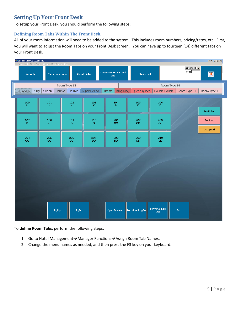## <span id="page-4-0"></span>**Setting Up Your Front Desk**

To setup your Front Desk, you should perform the following steps:

### <span id="page-4-1"></span>**Defining Room Tabs Within The Front Desk.**

All of your room information will need to be added to the system. This includes room numbers, pricing/rates, etc. First, you will want to adjust the Room Tabs on your Front Desk screen. You can have up to fourteen (14) different tabs on your Front Desk.



To **define Room Tabs**, perform the following steps:

- 1. Go to Hotel Management $\rightarrow$ Manager Functions $\rightarrow$ Assign Room Tab Names.
- 2. Change the menu names as needed, and then press the F3 key on your keyboard.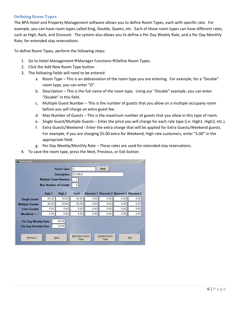#### <span id="page-5-0"></span>**Defining Room Types**

The BPA Hotel and Property Management software allows you to define Room Types, each with specific rate. For example, you can have room types called King, Double, Queen, etc. Each of those room types can have different rates, such as High, Rack, and Discount. The system also allows you to define a Per Day Weekly Rate, and a Per Day Monthly Rate, for extended stay reservations.

To define Room Types, perform the following steps:

- 1. Go to Hotel Management  $\rightarrow$  Manager Functions  $\rightarrow$  Define Room Types.
- 2. Click the Add New Room Type button.
- 3. The following fields will need to be entered:
	- a. Room Type This is an abbreviation of the room type you are entering. For example, for a "Double" room type, you can enter "D".
	- b. Description This is the full name of the room type. Using our "Double" example, you can enter "Double" in this field.
	- c. Multiple Guest Number This is the number of guests that you allow on a multiple occupany room before you will charge an extra guest fee.
	- d. Max Number of Guests This is the maximum number of guests that you allow in this type of room.
	- e. Single Guest/Multiple Guests Enter the price you will charge for each rate type (i.e. High1, High2, etc.).
	- f. Extra Guests/Weekend Enter the extra charge that will be applied for Extra Guests/Weekend guests. For example, if you are charging \$5.00 extra for Weekend, High rate customers, enter "5.00" in the appropriate field.
	- g. Per Day Weekly/Monthly Rate These rates are used for extended stay reservations.
- 4. To save the room type, press the Next, Previous, or Exit button.

| Room Type                                     |                               |                |                      |       |                                                    |      | $\mathbb{X}% _{0}^{X}$ |
|-----------------------------------------------|-------------------------------|----------------|----------------------|-------|----------------------------------------------------|------|------------------------|
|                                               |                               | Room Type: D   |                      |       | <b>Pick</b>                                        |      |                        |
|                                               | <b>Description:</b>           |                |                      |       |                                                    |      |                        |
|                                               | <b>Multiple Guest Number:</b> |                | 2                    |       |                                                    |      |                        |
|                                               | <b>Max Number of Guests:</b>  |                | 4                    |       |                                                    |      |                        |
|                                               | High 1                        | High 2         | Rack                 |       | <b>Discount 1 Discount 2 Discount 3 Discount 4</b> |      |                        |
| <b>Single Guest:</b>                          | 60.00                         | 55.00          | 50.00                | 0.00  | 0.00                                               | 0.00 | 0.00.                  |
| <b>Multiple Guests:</b>                       | 60.00                         | 55.00          | 50.00                | 0.00  | 0.00                                               | 0.00 | 0.00                   |
| <b>Extra Guests:</b>                          | 5.00                          | 5.00           | 5.00                 | 0.00. | 0.00                                               | 0.00 | 0.00                   |
| WeekEnd +/-:                                  | 5.00                          | 5.00           | 5.00                 | 0.00  | 0.00                                               | 0.00 | 0.00                   |
| Per Day Weekly Rate:<br>Per Day Monthly Rate: |                               | 40.00<br>30.00 |                      |       |                                                    |      |                        |
| Previous                                      |                               | Next           | Add New Room<br>Type |       | Delete Room<br>Type                                |      | Exit                   |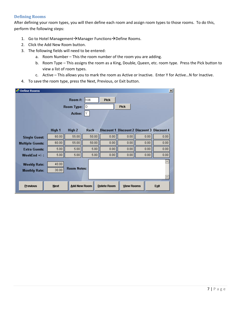#### <span id="page-6-0"></span>**Defining Rooms**

After defining your room types, you will then define each room and assign room types to those rooms. To do this, perform the following steps:

- 1. Go to Hotel Management $\rightarrow$ Manager Functions $\rightarrow$ Define Rooms.
- 2. Click the Add New Room button.
- 3. The following fields will need to be entered:
	- a. Room Number This the room number of the room you are adding.
	- b. Room Type This assigns the room as a King, Double, Queen, etc. room type. Press the Pick button to view a list of room types.
	- c. Active This allows you to mark the room as Active or Inactive. Enter Y for Active…N for Inactive.
- 4. To save the room type, press the Next, Previous, or Exit button.

| <b>Define Rooms</b>     |             |                     |             |             |                   |                                                    | 図    |  |
|-------------------------|-------------|---------------------|-------------|-------------|-------------------|----------------------------------------------------|------|--|
|                         |             | Room #:             | 106         | <b>Pick</b> |                   |                                                    |      |  |
|                         |             | <b>Room Type:</b>   | D           | <b>Pick</b> |                   |                                                    |      |  |
|                         |             | Active:             | ΥJ          |             |                   |                                                    |      |  |
|                         |             |                     |             |             |                   |                                                    |      |  |
|                         | High 1      | High 2              | <b>Rack</b> |             |                   | <b>Discount 1 Discount 2 Discount 3 Discount 4</b> |      |  |
| <b>Single Guest:</b>    | 60.00       | 55.00               | 50.00       | 0.00        | 0.00              | 0.00                                               | 0.00 |  |
| <b>Multiple Guests:</b> | 60.00       | 55.00               | 50.00       | 0.00        | 0.00              | 0.00                                               | 0.00 |  |
| <b>Extra Guests:</b>    | 5.00        | 5.00                | 5.00        | 0.00        | 0.00              | 0.00                                               | 0.00 |  |
| WeekEnd +/-:            | 5.00        | 5.00                | 5.00        | 0.00        | 0.00              | 0.00                                               | 0.00 |  |
| <b>Weekly Rate:</b>     | 40.00       |                     |             |             |                   |                                                    |      |  |
| <b>Monthly Rate:</b>    | 30.00       | <b>Room Notes:</b>  |             |             |                   |                                                    |      |  |
|                         |             |                     |             |             |                   |                                                    |      |  |
| <b>Previous</b>         | <b>Next</b> | <b>Add New Room</b> |             | Delete Room | <b>View Rooms</b> |                                                    | Exit |  |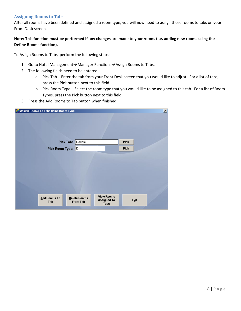#### <span id="page-7-0"></span>**Assigning Rooms to Tabs**

After all rooms have been defined and assigned a room type, you will now need to assign those rooms to tabs on your Front Desk screen.

#### **Note: This function must be performed if any changes are made to your rooms (i.e. adding new rooms using the Define Rooms function).**

To Assign Rooms to Tabs, perform the following steps:

- 1. Go to Hotel Management  $\rightarrow$  Manager Functions  $\rightarrow$  Assign Rooms to Tabs.
- 2. The following fields need to be entered:
	- a. Pick Tab Enter the tab from your Front Desk screen that you would like to adjust. For a list of tabs, press the Pick button next to this field.
	- b. Pick Room Type Select the room type that you would like to be assigned to this tab. For a list of Room Types, press the Pick button next to this field.
- 3. Press the Add Rooms to Tab button when finished.

| Assign Rooms To Tabs Using Room Type |                                                                                           | $\vert x \vert$ |
|--------------------------------------|-------------------------------------------------------------------------------------------|-----------------|
|                                      |                                                                                           |                 |
| Pick Tab: Double                     |                                                                                           | <b>Pick</b>     |
| Pick Room Type: 0                    |                                                                                           | <b>Pick</b>     |
|                                      |                                                                                           |                 |
|                                      |                                                                                           |                 |
|                                      |                                                                                           |                 |
|                                      |                                                                                           |                 |
|                                      |                                                                                           |                 |
| <b>Add Rooms To</b><br>Tab           | <b>View Rooms</b><br>Delete Rooms<br><b>Assigned To</b><br><b>From Tab</b><br><b>Tabs</b> | Exit            |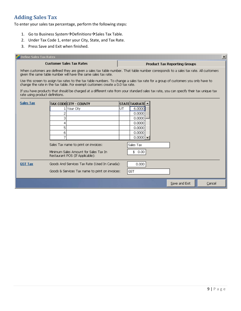# <span id="page-8-0"></span>**Adding Sales Tax**

To enter your sales tax percentage, perform the following steps:

- 1. Go to Business System  $\rightarrow$  Definitions  $\rightarrow$  Sales Tax Table.
- 2. Under Tax Code 1, enter your City, State, and Tax Rate.
- 3. Press Save and Exit when finished.

| Define Sales Tax Rates          |                                                                                                                                                                                                        |    | $\vert x \vert$                                                                                                                         |  |  |  |  |  |  |
|---------------------------------|--------------------------------------------------------------------------------------------------------------------------------------------------------------------------------------------------------|----|-----------------------------------------------------------------------------------------------------------------------------------------|--|--|--|--|--|--|
|                                 | <b>Customer Sales Tax Rates</b>                                                                                                                                                                        |    | <b>Product Tax Reporting Groups</b>                                                                                                     |  |  |  |  |  |  |
|                                 | When customers are defined they are given a sales tax table number. That table number corresponds to a sales tax rate. All customers<br>given the same table number will have the same sales tax rate. |    |                                                                                                                                         |  |  |  |  |  |  |
|                                 | change the rate in the tax table. For exempt customers create a 0.0 tax rate.                                                                                                                          |    | Use this screen to assign tax rates to the tax table numbers. To change a sales tax rate for a group of customers you only have to      |  |  |  |  |  |  |
| rate using product definitions. |                                                                                                                                                                                                        |    | If you have products that should be charged at a different rate from your standard sales tax rate, you can specify their tax unique tax |  |  |  |  |  |  |
| <b>Sales Tax</b>                | <b>TAX CODECITY - COUNTY</b>                                                                                                                                                                           |    | STATE TAXRATE                                                                                                                           |  |  |  |  |  |  |
|                                 | . Your City                                                                                                                                                                                            | UT | 6,0000                                                                                                                                  |  |  |  |  |  |  |
|                                 |                                                                                                                                                                                                        |    | 0.0000                                                                                                                                  |  |  |  |  |  |  |
|                                 | з                                                                                                                                                                                                      |    | 0.0000                                                                                                                                  |  |  |  |  |  |  |
|                                 | 4                                                                                                                                                                                                      |    | 0.0000                                                                                                                                  |  |  |  |  |  |  |
|                                 | 5                                                                                                                                                                                                      |    | 0.0000                                                                                                                                  |  |  |  |  |  |  |
|                                 | 6                                                                                                                                                                                                      |    | 0.0000                                                                                                                                  |  |  |  |  |  |  |
|                                 |                                                                                                                                                                                                        |    | $0.0000$ $\rightarrow$                                                                                                                  |  |  |  |  |  |  |
|                                 | Sales Tax name to print on invoices:                                                                                                                                                                   |    | Sales Tax                                                                                                                               |  |  |  |  |  |  |
|                                 | Minimum Sales Amount for Sales Tax In<br>Restaurant POS (If Applicable):                                                                                                                               |    | \$.<br>0.00                                                                                                                             |  |  |  |  |  |  |
| <b>GST Tax</b>                  | Goods And Services Tax Rate (Used In Canada):                                                                                                                                                          |    | 0.000                                                                                                                                   |  |  |  |  |  |  |
|                                 | Goods & Services Tax name to print on invoices:                                                                                                                                                        |    | <b>GST</b>                                                                                                                              |  |  |  |  |  |  |
|                                 |                                                                                                                                                                                                        |    | Save and Exit<br>Cancel                                                                                                                 |  |  |  |  |  |  |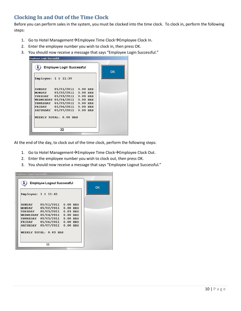## <span id="page-9-0"></span>**Clocking In and Out of the Time Clock**

Before you can perform sales in the system, you must be clocked into the time clock. To clock in, perform the following steps:

- 1. Go to Hotel Management $\rightarrow$ Employee Time Clock $\rightarrow$ Employee Clock In.
- 2. Enter the employee number you wish to clock in, then press OK.
- 3. You should now receive a message that says "Employee Login Successful."

| ī.                     | <b>Employee Login Successful</b> |  | ΟK |
|------------------------|----------------------------------|--|----|
| Employee: $1 \& 11:39$ |                                  |  |    |
|                        | SUNDAY 05/01/2011 0.00 HRS       |  |    |
|                        | MONDAY 05/02/2011 0.00 HRS       |  |    |
|                        | TUESDAY 05/03/2011 0.00 HRS      |  |    |
|                        | WEDNESDAY 05/04/2011 0.00 HRS    |  |    |
|                        | THURSDAY 05/05/2011 0.00 HRS     |  |    |
|                        | FRIDAY 05/06/2011 0.00 HRS       |  |    |
|                        | SATURDAY 05/07/2011 0.00 HRS     |  |    |
|                        | WEEKLY TOTAL: 0.00 HRS           |  |    |
|                        | 22                               |  |    |

At the end of the day, to clock out of the time clock, perform the following steps:

- 1. Go to Hotel Management  $\rightarrow$  Employee Time Clock $\rightarrow$  Employee Clock Out.
- 2. Enter the employee number you wish to clock out, then press OK.
- 3. You should now receive a message that says "Employee Logout Successful."

| <b>Employee Logout Successful</b> |                                                                                                                                                                                                                 |  |  |  |  |  |  |  |  |
|-----------------------------------|-----------------------------------------------------------------------------------------------------------------------------------------------------------------------------------------------------------------|--|--|--|--|--|--|--|--|
| i,                                | <b>Employee Logout Successful</b>                                                                                                                                                                               |  |  |  |  |  |  |  |  |
|                                   | Employee: $1 \oplus 11:41$                                                                                                                                                                                      |  |  |  |  |  |  |  |  |
| <b>SUNDAY</b>                     | 05/01/2011 0.00 HRS<br>MONDAY 05/02/2011 0.00 HRS<br>TUESDAY 05/03/2011 0.03 HRS<br>WEDNESDAY 05/04/2011 0.00 HRS<br>THURSDAY 05/05/2011 0.00 HRS<br>FRIDAY 05/06/2011 0.00 HRS<br>SATURDAY 05/07/2011 0.00 HRS |  |  |  |  |  |  |  |  |
|                                   | WEEKLY TOTAL: 0.03 HRS                                                                                                                                                                                          |  |  |  |  |  |  |  |  |
|                                   | 11                                                                                                                                                                                                              |  |  |  |  |  |  |  |  |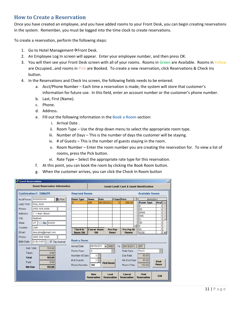## <span id="page-10-0"></span>**How to Create a Reservation**

Once you have created an employee, and you have added rooms to your Front Desk, you can begin creating reservations in the system. Remember, you must be logged into the time clock to create reservations.

To create a reservation, perform the following steps:

- 1. Go to Hotel Management $\rightarrow$ Front Desk.
- 2. An Employee Log In screen will appear. Enter your employee number, and then press OK.
- 3. You will then see your Front Desk screen with all of your rooms. Rooms in Green are Available. Rooms in Yellow are Occupied…and rooms in Pink are Booked. To create a new reservation, click Reservations & Check Ins button.
- 4. In the Reservations and Check Ins screen, the following fields needs to be entered:
	- a. Acct/Phone Number Each time a reservation is made, the system will store that customer's information for future use. In this field, enter an account number or the customer's phone number.
	- b. Last, First (Name).
	- c. Phone.
	- d. Address.
	- e. Fill out the following information in the **Book a Room** section:
		- i. Arrival Date .
		- ii. Room Type Use the drop down menu to select the appropriate room type.
		- iii. Number of Days This is the number of days the customer will be staying.
		- iv. # of Guests This is the number of guests staying in the room.
		- v. Room Number Enter the room number you are creating the reservation for. To view a list of rooms, press the Pick button.
		- vi. Rate Type Select the appropriate rate type for this reservation.
	- f. At this point, you can book the room by clicking the Book Room button.
	- g. When the customer arrives, you can click the Check In Room button

| <b>Guest Reservations</b> |                                          |                                    |                                  |                             |                        |                              |                                                     | $\times$                          |
|---------------------------|------------------------------------------|------------------------------------|----------------------------------|-----------------------------|------------------------|------------------------------|-----------------------------------------------------|-----------------------------------|
|                           | <b>Guest Reservation Information</b>     |                                    |                                  |                             |                        |                              | <b>Guest Credit Card &amp; Guest Identification</b> |                                   |
|                           | Confirmation #: 33066291                 |                                    | <b>Reserved Rooms</b>            |                             |                        |                              |                                                     | <b>Available Rooms</b>            |
| Acct/Phone: I             | 5555555555<br>$\blacktriangleright$ Pick | <b>Room Type</b>                   | Room                             | Date                        | # Days Price           |                              | 06/15/2011                                          |                                   |
| Last, First:              | Doe, John                                | D                                  | 106                              | 06/15/2011                  | з                      | 155.00                       | Room Type                                           | Avail $\vert \underline{\bullet}$ |
| Phone:                    | $(555) 555-5555$                         |                                    |                                  |                             |                        |                              | ЮD                                                  | з<br>5                            |
| Address:                  | 111 Main Street                          |                                    |                                  |                             |                        |                              | <b>IDDNS</b>                                        | $\overline{0}$                    |
| City:                     | Anytown                                  |                                    |                                  |                             |                        |                              | <b>DNS</b>                                          | 0                                 |
| State:                    | Zip: 84405<br>UT.                        |                                    |                                  |                             |                        |                              | G<br>GD                                             | 0<br>0                            |
| Country:                  | USA                                      |                                    |                                  |                             |                        |                              | Κ                                                   | 5                                 |
| Email:                    | doe.john@email.com                       | <b>Check In</b><br><b>Room 106</b> | Cancel Room<br>106               |                             | Pre-Pay<br><b>Room</b> | Pre-Pay All<br><b>Rooms</b>  | lĸĸ<br><b>IKKNS</b>                                 | 0<br>oli                          |
| Phone:                    | $(555) 555-5555$                         |                                    |                                  |                             |                        |                              |                                                     |                                   |
| Birth Date:               | 01/01/1979<br>$\nabla$ Tax Exempt        | <b>Book a Room</b>                 |                                  |                             |                        |                              |                                                     |                                   |
| Sub Total:                | 155.00                                   | Arrival Date:                      | 06/15/2011                       | $\overline{\mathbf{v}}$ WED | To                     | 06/18/2011                   | <b>SAT</b>                                          |                                   |
| Taxes:                    | 0.00                                     | Room Type:                         | D                                |                             |                        | Rate Type:                   | <b>RACK</b>                                         | $\blacktriangledown$              |
| <b>Total:</b>             | 155.00                                   | Number of Days:                    | ÷<br>3                           |                             |                        | Day Rate:                    | 50.00                                               |                                   |
|                           | 0.00                                     | $#$ of Guests:                     | ÷<br>$\overline{2}$              |                             |                        | Wk End Rate:                 | 55.00                                               | <b>Book</b>                       |
| Paid:                     |                                          | Room Number:                       | 106                              | <b>Pick Room</b>            |                        | Room Total:                  | 155.00                                              | <b>Room</b>                       |
| <b>Net Due:</b>           | 155.00                                   |                                    |                                  |                             |                        |                              |                                                     |                                   |
|                           |                                          |                                    | <b>New</b><br><b>Reservation</b> | Load<br><b>Reservation</b>  |                        | Cancel<br><b>Reservation</b> | Print<br><b>Reservation</b>                         | Exit                              |